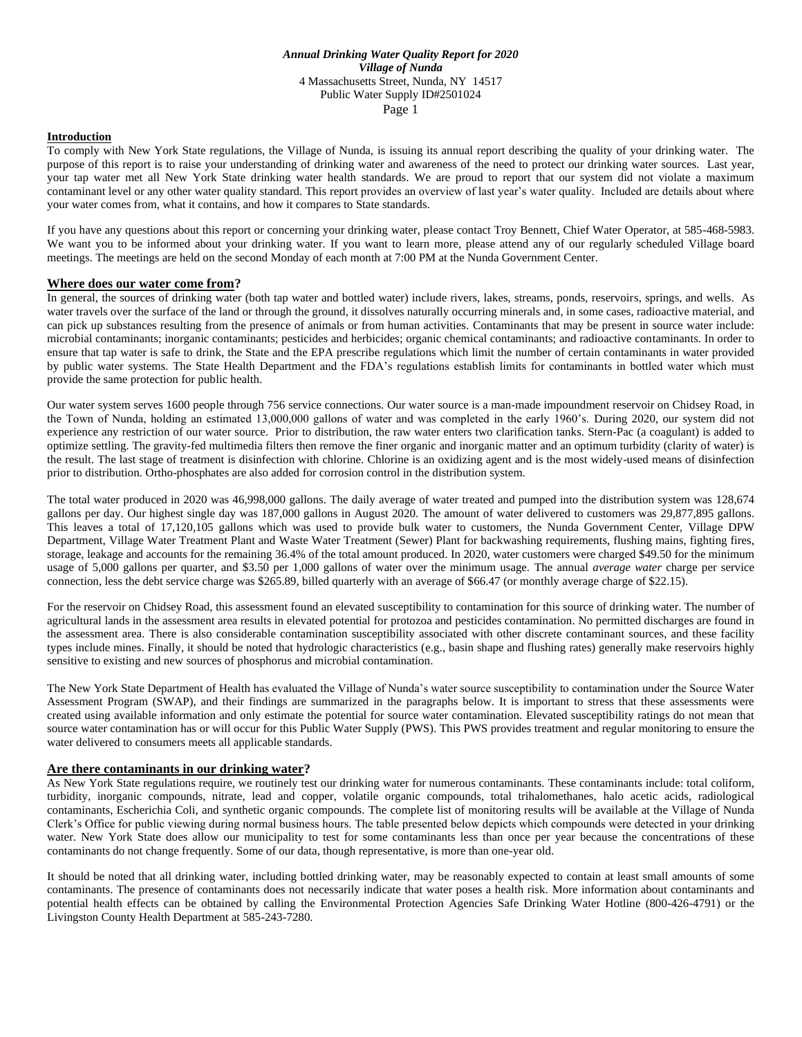#### **Introduction**

To comply with New York State regulations, the Village of Nunda, is issuing its annual report describing the quality of your drinking water. The purpose of this report is to raise your understanding of drinking water and awareness of the need to protect our drinking water sources. Last year, your tap water met all New York State drinking water health standards. We are proud to report that our system did not violate a maximum contaminant level or any other water quality standard. This report provides an overview of last year's water quality. Included are details about where your water comes from, what it contains, and how it compares to State standards.

If you have any questions about this report or concerning your drinking water, please contact Troy Bennett, Chief Water Operator, at 585-468-5983. We want you to be informed about your drinking water. If you want to learn more, please attend any of our regularly scheduled Village board meetings. The meetings are held on the second Monday of each month at 7:00 PM at the Nunda Government Center.

### **Where does our water come from?**

In general, the sources of drinking water (both tap water and bottled water) include rivers, lakes, streams, ponds, reservoirs, springs, and wells. As water travels over the surface of the land or through the ground, it dissolves naturally occurring minerals and, in some cases, radioactive material, and can pick up substances resulting from the presence of animals or from human activities. Contaminants that may be present in source water include: microbial contaminants; inorganic contaminants; pesticides and herbicides; organic chemical contaminants; and radioactive contaminants. In order to ensure that tap water is safe to drink, the State and the EPA prescribe regulations which limit the number of certain contaminants in water provided by public water systems. The State Health Department and the FDA's regulations establish limits for contaminants in bottled water which must provide the same protection for public health.

Our water system serves 1600 people through 756 service connections. Our water source is a man-made impoundment reservoir on Chidsey Road, in the Town of Nunda, holding an estimated 13,000,000 gallons of water and was completed in the early 1960's. During 2020, our system did not experience any restriction of our water source. Prior to distribution, the raw water enters two clarification tanks. Stern-Pac (a coagulant) is added to optimize settling. The gravity-fed multimedia filters then remove the finer organic and inorganic matter and an optimum turbidity (clarity of water) is the result. The last stage of treatment is disinfection with chlorine. Chlorine is an oxidizing agent and is the most widely-used means of disinfection prior to distribution. Ortho-phosphates are also added for corrosion control in the distribution system.

The total water produced in 2020 was 46,998,000 gallons. The daily average of water treated and pumped into the distribution system was 128,674 gallons per day. Our highest single day was 187,000 gallons in August 2020. The amount of water delivered to customers was 29,877,895 gallons. This leaves a total of 17,120,105 gallons which was used to provide bulk water to customers, the Nunda Government Center, Village DPW Department, Village Water Treatment Plant and Waste Water Treatment (Sewer) Plant for backwashing requirements, flushing mains, fighting fires, storage, leakage and accounts for the remaining 36.4% of the total amount produced. In 2020, water customers were charged \$49.50 for the minimum usage of 5,000 gallons per quarter, and \$3.50 per 1,000 gallons of water over the minimum usage. The annual *average water* charge per service connection, less the debt service charge was \$265.89, billed quarterly with an average of \$66.47 (or monthly average charge of \$22.15).

For the reservoir on Chidsey Road, this assessment found an elevated susceptibility to contamination for this source of drinking water. The number of agricultural lands in the assessment area results in elevated potential for protozoa and pesticides contamination. No permitted discharges are found in the assessment area. There is also considerable contamination susceptibility associated with other discrete contaminant sources, and these facility types include mines. Finally, it should be noted that hydrologic characteristics (e.g., basin shape and flushing rates) generally make reservoirs highly sensitive to existing and new sources of phosphorus and microbial contamination.

The New York State Department of Health has evaluated the Village of Nunda's water source susceptibility to contamination under the Source Water Assessment Program (SWAP), and their findings are summarized in the paragraphs below. It is important to stress that these assessments were created using available information and only estimate the potential for source water contamination. Elevated susceptibility ratings do not mean that source water contamination has or will occur for this Public Water Supply (PWS). This PWS provides treatment and regular monitoring to ensure the water delivered to consumers meets all applicable standards.

#### **Are there contaminants in our drinking water?**

As New York State regulations require, we routinely test our drinking water for numerous contaminants. These contaminants include: total coliform, turbidity, inorganic compounds, nitrate, lead and copper, volatile organic compounds, total trihalomethanes, halo acetic acids, radiological contaminants, Escherichia Coli, and synthetic organic compounds. The complete list of monitoring results will be available at the Village of Nunda Clerk's Office for public viewing during normal business hours. The table presented below depicts which compounds were detected in your drinking water. New York State does allow our municipality to test for some contaminants less than once per year because the concentrations of these contaminants do not change frequently. Some of our data, though representative, is more than one-year old.

It should be noted that all drinking water, including bottled drinking water, may be reasonably expected to contain at least small amounts of some contaminants. The presence of contaminants does not necessarily indicate that water poses a health risk. More information about contaminants and potential health effects can be obtained by calling the Environmental Protection Agencies Safe Drinking Water Hotline (800-426-4791) or the Livingston County Health Department at 585-243-7280.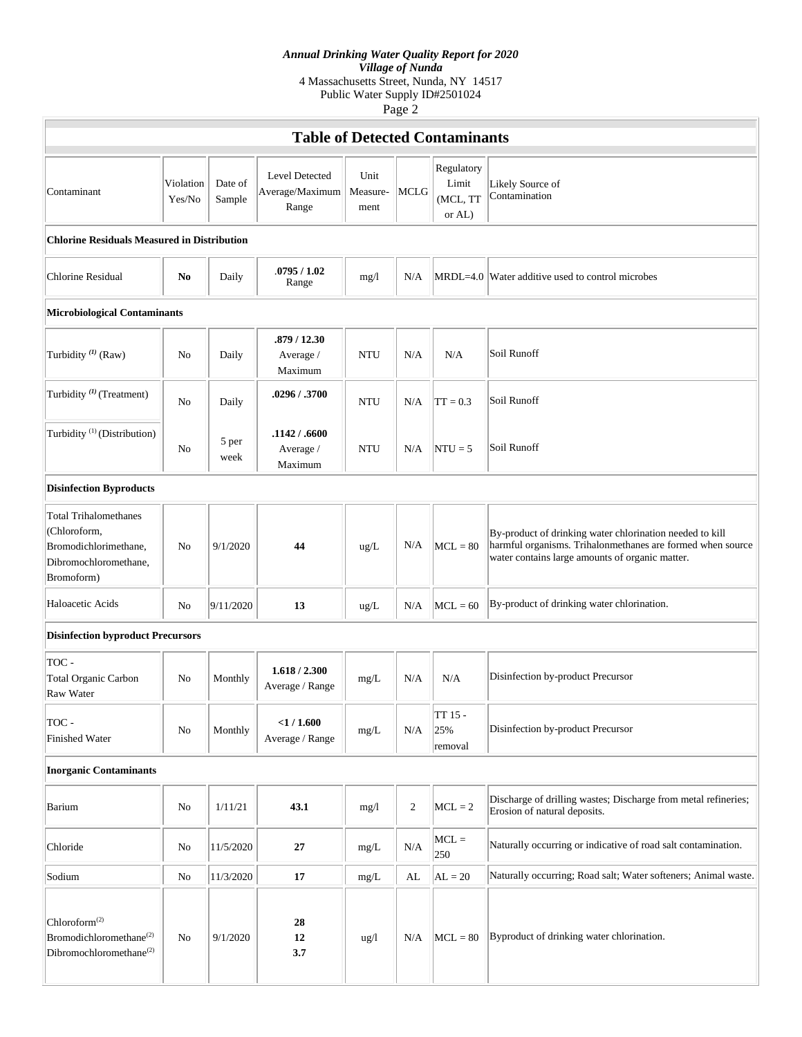# *Annual Drinking Water Quality Report for 2020*

*Village of Nunda* 4 Massachusetts Street, Nunda, NY 14517

Public Water Supply ID#2501024

Page 2

| <b>Table of Detected Contaminants</b>                                                                        |                     |                   |                                            |                          |            |                                           |                                                                                                                                                                           |  |  |  |  |  |
|--------------------------------------------------------------------------------------------------------------|---------------------|-------------------|--------------------------------------------|--------------------------|------------|-------------------------------------------|---------------------------------------------------------------------------------------------------------------------------------------------------------------------------|--|--|--|--|--|
| Contaminant                                                                                                  | Violation<br>Yes/No | Date of<br>Sample | Level Detected<br>Average/Maximum<br>Range | Unit<br>Measure-<br>ment | MCLG       | Regulatory<br>Limit<br>(MCL, TT<br>or AL) | Likely Source of<br>Contamination                                                                                                                                         |  |  |  |  |  |
| <b>Chlorine Residuals Measured in Distribution</b>                                                           |                     |                   |                                            |                          |            |                                           |                                                                                                                                                                           |  |  |  |  |  |
| Chlorine Residual                                                                                            | N <sub>0</sub>      | Daily             | .0795/1.02<br>Range                        | mg/1                     | N/A        |                                           | MRDL=4.0 Water additive used to control microbes                                                                                                                          |  |  |  |  |  |
| Microbiological Contaminants                                                                                 |                     |                   |                                            |                          |            |                                           |                                                                                                                                                                           |  |  |  |  |  |
| Turbidity <sup>(1)</sup> (Raw)                                                                               | N <sub>0</sub>      | Daily             | .879 / 12.30<br>Average /<br>Maximum       | <b>NTU</b>               | N/A        | N/A                                       | Soil Runoff                                                                                                                                                               |  |  |  |  |  |
| Turbidity <sup>(1)</sup> (Treatment)                                                                         | N <sub>0</sub>      | Daily             | .0296 / .3700                              | <b>NTU</b>               | N/A        | $TT = 0.3$                                | Soil Runoff                                                                                                                                                               |  |  |  |  |  |
| Turbidity <sup>(1)</sup> (Distribution)                                                                      | No                  | 5 per<br>week     | .1142 / .6600<br>Average /<br>Maximum      | <b>NTU</b>               | N/A        | $NTU = 5$                                 | Soil Runoff                                                                                                                                                               |  |  |  |  |  |
| <b>Disinfection Byproducts</b>                                                                               |                     |                   |                                            |                          |            |                                           |                                                                                                                                                                           |  |  |  |  |  |
| <b>Total Trihalomethanes</b><br>(Chloroform,<br>Bromodichlorimethane,<br>Dibromochloromethane,<br>Bromoform) | No                  | 9/1/2020          | 44                                         | ug/L                     | N/A        | $MCL = 80$                                | By-product of drinking water chlorination needed to kill<br>harmful organisms. Trihalonmethanes are formed when source<br>water contains large amounts of organic matter. |  |  |  |  |  |
| Haloacetic Acids                                                                                             | No                  | 9/11/2020         | 13                                         | ug/L                     | N/A        | $MCL = 60$                                | By-product of drinking water chlorination.                                                                                                                                |  |  |  |  |  |
| <b>Disinfection byproduct Precursors</b>                                                                     |                     |                   |                                            |                          |            |                                           |                                                                                                                                                                           |  |  |  |  |  |
| TOC -<br><b>Total Organic Carbon</b><br>Raw Water                                                            | No                  | Monthly           | 1.618 / 2.300<br>Average / Range           | mg/L                     | N/A        | N/A                                       | Disinfection by-product Precursor                                                                                                                                         |  |  |  |  |  |
| TOC -<br><b>Finished Water</b>                                                                               | No                  | Monthly           | $<$ 1/1.600<br>Average / Range             | mg/L                     | N/A        | TT 15 -<br>25%<br>removal                 | Disinfection by-product Precursor                                                                                                                                         |  |  |  |  |  |
| <b>Inorganic Contaminants</b>                                                                                |                     |                   |                                            |                          |            |                                           |                                                                                                                                                                           |  |  |  |  |  |
| Barium                                                                                                       | No                  | 1/11/21           | 43.1                                       | mg/1                     | $\sqrt{2}$ | $MCL = 2$                                 | Discharge of drilling wastes; Discharge from metal refineries;<br>Erosion of natural deposits.                                                                            |  |  |  |  |  |
| Chloride                                                                                                     | No                  | 11/5/2020         | 27                                         | mg/L                     | $\rm N/A$  | $MCL =$<br>250                            | Naturally occurring or indicative of road salt contamination.                                                                                                             |  |  |  |  |  |
| Sodium                                                                                                       | No                  | 11/3/2020         | 17                                         | mg/L                     | AL         | $AL = 20$                                 | Naturally occurring; Road salt; Water softeners; Animal waste.                                                                                                            |  |  |  |  |  |
| Chloroform <sup>(2)</sup><br>Bromodichloromethane <sup>(2)</sup><br>Dibromochloromethane <sup>(2)</sup>      | No                  | 9/1/2020          | 28<br>12<br>3.7                            | ug/l                     | N/A        | $MCL = 80$                                | Byproduct of drinking water chlorination.                                                                                                                                 |  |  |  |  |  |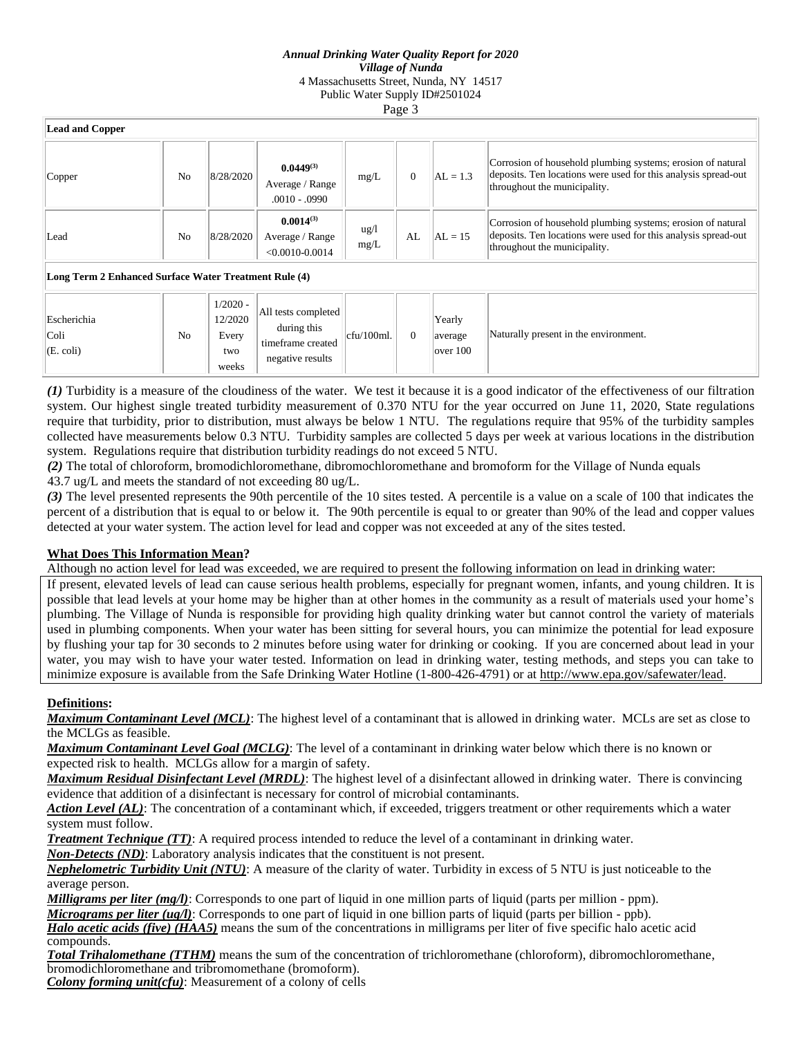### *Annual Drinking Water Quality Report for 2020 Village of Nunda* 4 Massachusetts Street, Nunda, NY 14517 Public Water Supply ID#2501024 Page 3

| <b>Lead and Copper</b>                                |                |                                       |                                                          |                         |                |                               |                                                                                                                                                               |  |  |  |
|-------------------------------------------------------|----------------|---------------------------------------|----------------------------------------------------------|-------------------------|----------------|-------------------------------|---------------------------------------------------------------------------------------------------------------------------------------------------------------|--|--|--|
| Copper                                                | No             | 8/28/2020                             | $0.0449^{(3)}$<br>Average / Range<br>$.0010 - .0990$     | mg/L                    | $\overline{0}$ | $AL = 1.3$                    | Corrosion of household plumbing systems; erosion of natural<br>deposits. Ten locations were used for this analysis spread-out<br>throughout the municipality. |  |  |  |
| Lead                                                  | No             | 8/28/2020                             | $0.0014^{(3)}$<br>Average / Range<br>$< 0.0010 - 0.0014$ | $\frac{u g}{l}$<br>mg/L | AL             | $AL = 15$                     | Corrosion of household plumbing systems; erosion of natural<br>deposits. Ten locations were used for this analysis spread-out<br>throughout the municipality. |  |  |  |
| Long Term 2 Enhanced Surface Water Treatment Rule (4) |                |                                       |                                                          |                         |                |                               |                                                                                                                                                               |  |  |  |
| Escherichia<br>Coli<br>$(E. \text{ coli})$            | N <sub>0</sub> | $1/2020 -$<br>12/2020<br>Every<br>two | All tests completed<br>during this<br>timeframe created  | $cfu/100ml$ .           | $\overline{0}$ | Yearly<br>average<br>over 100 | Naturally present in the environment.                                                                                                                         |  |  |  |

*(1)* Turbidity is a measure of the cloudiness of the water. We test it because it is a good indicator of the effectiveness of our filtration system. Our highest single treated turbidity measurement of 0.370 NTU for the year occurred on June 11, 2020, State regulations require that turbidity, prior to distribution, must always be below 1 NTU. The regulations require that 95% of the turbidity samples collected have measurements below 0.3 NTU. Turbidity samples are collected 5 days per week at various locations in the distribution system. Regulations require that distribution turbidity readings do not exceed 5 NTU.

*(2)* The total of chloroform, bromodichloromethane, dibromochloromethane and bromoform for the Village of Nunda equals 43.7 ug/L and meets the standard of not exceeding 80 ug/L.

*(3)* The level presented represents the 90th percentile of the 10 sites tested. A percentile is a value on a scale of 100 that indicates the percent of a distribution that is equal to or below it. The 90th percentile is equal to or greater than 90% of the lead and copper values detected at your water system. The action level for lead and copper was not exceeded at any of the sites tested.

## **What Does This Information Mean?**

weeks

negative results

Although no action level for lead was exceeded, we are required to present the following information on lead in drinking water:

If present, elevated levels of lead can cause serious health problems, especially for pregnant women, infants, and young children. It is possible that lead levels at your home may be higher than at other homes in the community as a result of materials used your home's plumbing. The Village of Nunda is responsible for providing high quality drinking water but cannot control the variety of materials used in plumbing components. When your water has been sitting for several hours, you can minimize the potential for lead exposure by flushing your tap for 30 seconds to 2 minutes before using water for drinking or cooking. If you are concerned about lead in your water, you may wish to have your water tested. Information on lead in drinking water, testing methods, and steps you can take to minimize exposure is available from the Safe Drinking Water Hotline (1-800-426-4791) or at http://www.epa.gov/safewater/lead.

### **Definitions:**

*Maximum Contaminant Level (MCL)*: The highest level of a contaminant that is allowed in drinking water. MCLs are set as close to the MCLGs as feasible.

*Maximum Contaminant Level Goal (MCLG)*: The level of a contaminant in drinking water below which there is no known or expected risk to health. MCLGs allow for a margin of safety.

*Maximum Residual Disinfectant Level (MRDL)*: The highest level of a disinfectant allowed in drinking water. There is convincing evidence that addition of a disinfectant is necessary for control of microbial contaminants.

*Action Level (AL)*: The concentration of a contaminant which, if exceeded, triggers treatment or other requirements which a water system must follow.

*Treatment Technique (TT)*: A required process intended to reduce the level of a contaminant in drinking water.

*Non-Detects (ND)*: Laboratory analysis indicates that the constituent is not present.

*Nephelometric Turbidity Unit (NTU)*: A measure of the clarity of water. Turbidity in excess of 5 NTU is just noticeable to the average person.

*Milligrams per liter (mg/l)*: Corresponds to one part of liquid in one million parts of liquid (parts per million - ppm).

*Micrograms per liter (ug/l)*: Corresponds to one part of liquid in one billion parts of liquid (parts per billion - ppb).

*Halo acetic acids (five) (HAA5)* means the sum of the concentrations in milligrams per liter of five specific halo acetic acid compounds.

*Total Trihalomethane (TTHM)* means the sum of the concentration of trichloromethane (chloroform), dibromochloromethane, bromodichloromethane and tribromomethane (bromoform).

*Colony forming unit(cfu)*: Measurement of a colony of cells